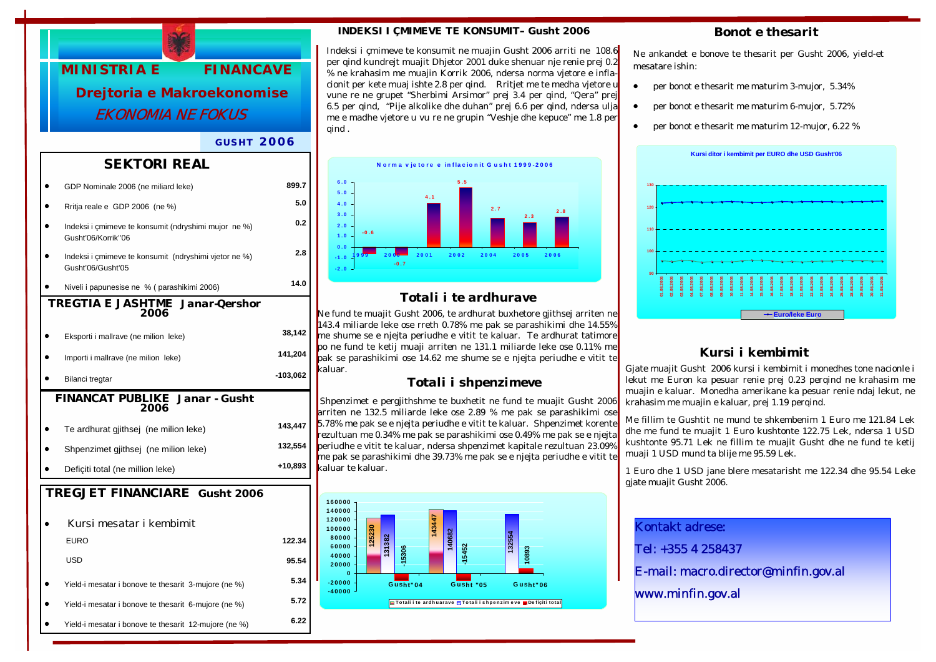

#### *GUSHT 2006*

### *SEKTORI REAL*

| GDP Nominale 2006 (ne miliard leke)                                        | 899.7                |  |  |  |
|----------------------------------------------------------------------------|----------------------|--|--|--|
| Rritja reale e GDP 2006 (ne %)                                             | 5.0                  |  |  |  |
| Indeksi i çmimeve te konsumit (ndryshimi mujor ne %)<br>Gusht'06/Korrik"06 | 0.2                  |  |  |  |
| Indeksi i çmimeve te konsumit (ndryshimi vjetor ne %)<br>Gusht'06/Gusht'05 | 2.8                  |  |  |  |
| Niveli i papunesise ne % (parashikimi 2006)                                | 14.0                 |  |  |  |
| <b>TREGTIA E JASHTME Janar-Qershor</b><br>2006                             |                      |  |  |  |
| Eksporti i mallrave (ne milion leke)                                       | 38,142               |  |  |  |
| Importi i mallrave (ne milion leke)                                        | 141,204              |  |  |  |
| Bilanci tregtar                                                            | $-103,062$           |  |  |  |
| FINANCAT PUBLIKE Janar - Gusht<br>2006                                     |                      |  |  |  |
|                                                                            |                      |  |  |  |
| Te ardhurat gjithsej (ne milion leke)                                      | 143,447              |  |  |  |
| Shpenzimet gjithsej (ne milion leke)                                       |                      |  |  |  |
| Deficiti total (ne million leke)                                           | 132,554<br>$+10,893$ |  |  |  |
| <b>TREGJET FINANCIARE</b> Gusht 2006                                       |                      |  |  |  |
| Kursi mesatar i kembimit                                                   |                      |  |  |  |
| <b>EURO</b>                                                                | 122.34               |  |  |  |
| <b>USD</b>                                                                 | 95.54                |  |  |  |



#### *INDEKSI I ÇMIMEVE TE KONSUMIT– Gusht 2006*

Indeksi i çmimeve te konsumit ne muajin Gusht 2006 arriti ne 108.6 per qind kundrejt muajit Dhjetor 2001 duke shenuar nje renie prej 0.2 % ne krahasim me muajin Korrik 2006, ndersa norma vjetore e inflacionit per kete muaj ishte 2.8 per qind. Rritjet me te medha vjetore u vune re ne grupet "Sherbimi Arsimor" prej 3.4 per qind, "Qera" prej 6.5 per qind, "Pije alkolike dhe duhan" prej 6.6 per qind, ndersa ulja me e madhe vjetore u vu re ne grupin "Veshje dhe kepuce" me 1.8 per qind .



# *Totali i te ardhurave*

Ne fund te muajit Gusht 2006, te ardhurat buxhetore gjithsej arriten ne 143.4 miliarde leke ose rreth 0.78% me pak se parashikimi dhe 14.55% me shume se e njejta periudhe e vitit te kaluar. Te ardhurat tatimore po ne fund te ketij muaji arriten ne 131.1 miliarde leke ose 0.11% me pak se parashikimi ose 14.62 me shume se e njejta periudhe e vitit te kaluar.

### *Totali i shpenzimeve*

 Shpenzimet e pergjithshme te buxhetit ne fund te muajit Gusht 2006 arriten ne 132.5 miliarde leke ose 2.89 % me pak se parashikimi ose 5.78% me pak se e njejta periudhe e vitit te kaluar. Shpenzimet korente rezultuan me 0.34% me pak se parashikimi ose 0.49% me pak se e njejta periudhe e vitit te kaluar, ndersa shpenzimet kapitale rezultuan 23.09% me pak se parashikimi dhe 39.73% me pak se e njejta periudhe e vitit to kaluar te kaluar.



### *Bonot e thesarit*

Ne ankandet e bonove te thesarit per Gusht 2006, yield-et mesatare ishin:

- per bonot e thesarit me maturim 3-mujor, 5.34%
- per bonot e thesarit me maturim 6-mujor, 5.72%
- per bonot e thesarit me maturim 12-mujor, 6.22 %



# *Kursi i kembimit*

Gjate muajit Gusht 2006 kursi i kembimit i monedhes tone nacionle i lekut me Euron ka pesuar renie prej 0.23 perqind ne krahasim me muajin e kaluar. Monedha amerikane ka pesuar renie ndaj lekut, ne krahasim me muajin e kaluar, prej 1.19 perqind.

Me fillim te Gushtit ne mund te shkembenim 1 Euro me 121.84 Lek dhe me fund te muajit 1 Euro kushtonte 122.75 Lek, ndersa 1 USD kushtonte 95.71 Lek ne fillim te muajit Gusht dhe ne fund te ketij muaji 1 USD mund ta blije me 95.59 Lek.

1 Euro dhe 1 USD jane blere mesatarisht me 122.34 dhe 95.54 Leke gjate muajit Gusht 2006.

Kontakt adrese: Tel: +355 4 258437

E-mail: macro.director@minfin.gov.al

# www.minfin.gov.al